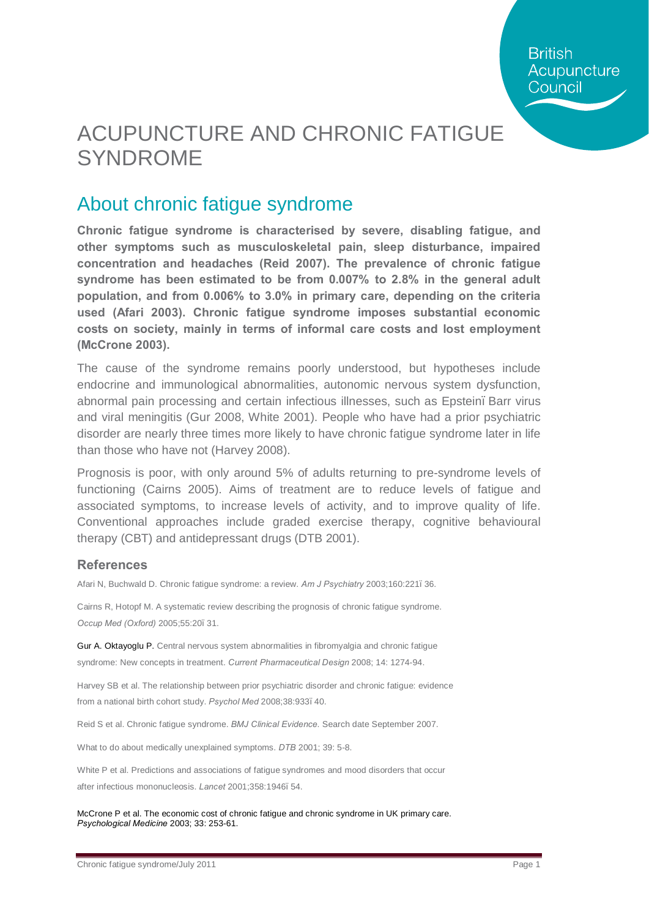# ACUPUNCTURE AND CHRONIC FATIGUE SYNDROME

### About chronic fatigue syndrome

**Chronic fatigue syndrome is characterised by severe, disabling fatigue, and other symptoms such as musculoskeletal pain, sleep disturbance, impaired concentration and headaches (Reid 2007). The prevalence of chronic fatigue syndrome has been estimated to be from 0.007% to 2.8% in the general adult population, and from 0.006% to 3.0% in primary care, depending on the criteria used (Afari 2003). Chronic fatigue syndrome imposes substantial economic costs on society, mainly in terms of informal care costs and lost employment (McCrone 2003).** 

The cause of the syndrome remains poorly understood, but hypotheses include endocrine and immunological abnormalities, autonomic nervous system dysfunction, abnormal pain processing and certain infectious illnesses, such as Epstein. Barr virus and viral meningitis (Gur 2008, White 2001). People who have had a prior psychiatric disorder are nearly three times more likely to have chronic fatigue syndrome later in life than those who have not (Harvey 2008).

Prognosis is poor, with only around 5% of adults returning to pre-syndrome levels of functioning (Cairns 2005). Aims of treatment are to reduce levels of fatigue and associated symptoms, to increase levels of activity, and to improve quality of life. Conventional approaches include graded exercise therapy, cognitive behavioural therapy (CBT) and antidepressant drugs (DTB 2001).

#### **References**

Afari N, Buchwald D. Chronic fatigue syndrome: a review. *Am J Psychiatry* 2003;160:221–36.

Cairns R, Hotopf M. A systematic review describing the prognosis of chronic fatigue syndrome. *Occup Med (Oxford)* 2005;55:20–31.

Gur A. Oktayoglu P. Central nervous system abnormalities in fibromyalgia and chronic fatigue syndrome: New concepts in treatment. *Current Pharmaceutical Design* 2008; 14: 1274-94.

Harvey SB et al. The relationship between prior psychiatric disorder and chronic fatigue: evidence from a national birth cohort study. *Psychol Med* 2008;38:933–40.

Reid S et al. Chronic fatigue syndrome. *BMJ Clinical Evidence*. Search date September 2007.

What to do about medically unexplained symptoms. *DTB* 2001; 39: 5-8.

White P et al. Predictions and associations of fatigue syndromes and mood disorders that occur after infectious mononucleosis. *Lancet* 2001;358:1946–54.

McCrone P et al. The economic cost of chronic fatigue and chronic syndrome in UK primary care. *Psychological Medicine* 2003; 33: 253-61.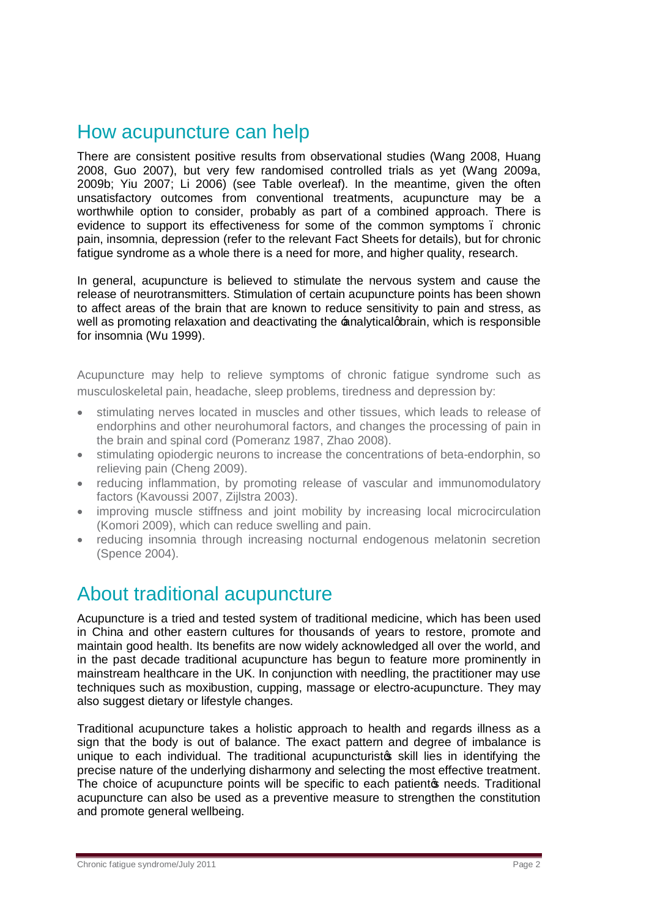### How acupuncture can help

There are consistent positive results from observational studies (Wang 2008, Huang 2008, Guo 2007), but very few randomised controlled trials as yet (Wang 2009a, 2009b; Yiu 2007; Li 2006) (see Table overleaf). In the meantime, given the often unsatisfactory outcomes from conventional treatments, acupuncture may be a worthwhile option to consider, probably as part of a combined approach. There is evidence to support its effectiveness for some of the common symptoms – chronic pain, insomnia, depression (refer to the relevant Fact Sheets for details), but for chronic fatigue syndrome as a whole there is a need for more, and higher quality, research.

In general, acupuncture is believed to stimulate the nervous system and cause the release of neurotransmitters. Stimulation of certain acupuncture points has been shown to affect areas of the brain that are known to reduce sensitivity to pain and stress, as well as promoting relaxation and deactivating the  $\pm$ nalyticalgorain, which is responsible for insomnia (Wu 1999).

Acupuncture may help to relieve symptoms of chronic fatigue syndrome such as musculoskeletal pain, headache, sleep problems, tiredness and depression by:

- · stimulating nerves located in muscles and other tissues, which leads to release of endorphins and other neurohumoral factors, and changes the processing of pain in the brain and spinal cord (Pomeranz 1987, Zhao 2008).
- · stimulating opiodergic neurons to increase the concentrations of beta-endorphin, so relieving pain (Cheng 2009).
- reducing inflammation, by promoting release of vascular and immunomodulatory factors (Kavoussi 2007, Zijlstra 2003).
- · improving muscle stiffness and joint mobility by increasing local microcirculation (Komori 2009), which can reduce swelling and pain.
- · reducing insomnia through increasing nocturnal endogenous melatonin secretion (Spence 2004).

### About traditional acupuncture

Acupuncture is a tried and tested system of traditional medicine, which has been used in China and other eastern cultures for thousands of years to restore, promote and maintain good health. Its benefits are now widely acknowledged all over the world, and in the past decade traditional acupuncture has begun to feature more prominently in mainstream healthcare in the UK. In conjunction with needling, the practitioner may use techniques such as moxibustion, cupping, massage or electro-acupuncture. They may also suggest dietary or lifestyle changes.

Traditional acupuncture takes a holistic approach to health and regards illness as a sign that the body is out of balance. The exact pattern and degree of imbalance is unique to each individual. The traditional acupuncturistos skill lies in identifying the precise nature of the underlying disharmony and selecting the most effective treatment. The choice of acupuncture points will be specific to each patient of needs. Traditional acupuncture can also be used as a preventive measure to strengthen the constitution and promote general wellbeing.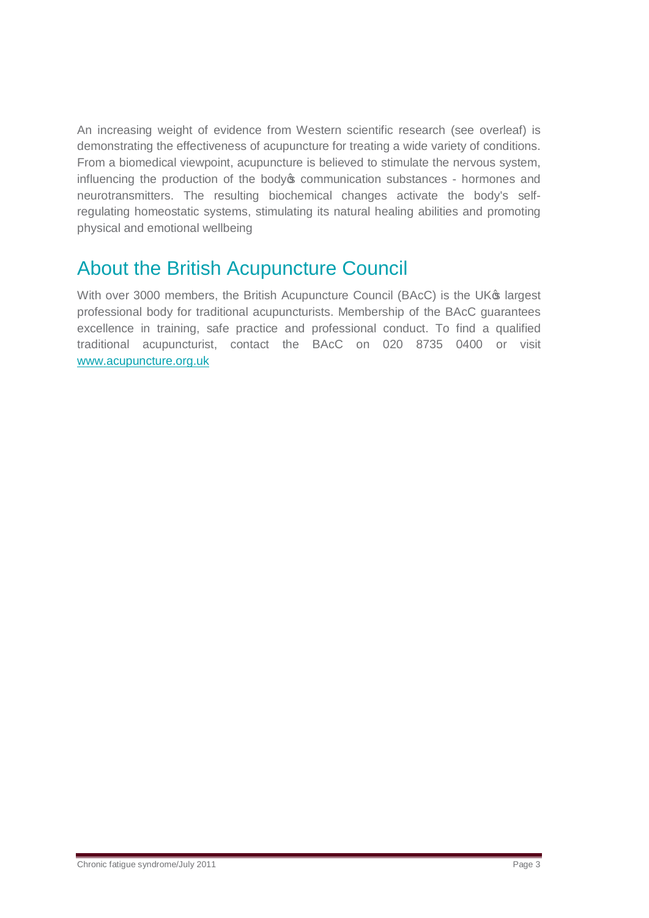An increasing weight of evidence from Western scientific research (see overleaf) is demonstrating the effectiveness of acupuncture for treating a wide variety of conditions. From a biomedical viewpoint, acupuncture is believed to stimulate the nervous system, influencing the production of the body ocommunication substances - hormones and neurotransmitters. The resulting biochemical changes activate the body's selfregulating homeostatic systems, stimulating its natural healing abilities and promoting physical and emotional wellbeing

## About the British Acupuncture Council

With over 3000 members, the British Acupuncture Council (BAcC) is the UK<sup>®</sup> largest professional body for traditional acupuncturists. Membership of the BAcC guarantees excellence in training, safe practice and professional conduct. To find a qualified traditional acupuncturist, contact the BAcC on 020 8735 0400 or visit [www.acupuncture.org.uk](http://www.acupuncture.org.uk/)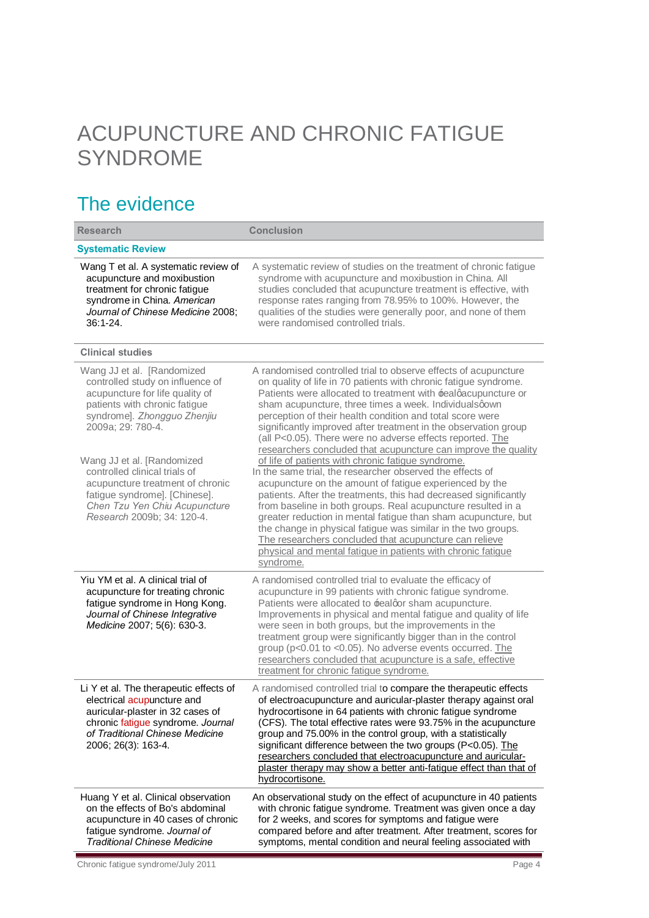# ACUPUNCTURE AND CHRONIC FATIGUE SYNDROME

## The evidence

| <b>Research</b>                                                                                                                                                                                                                                                                                                                                                                           | <b>Conclusion</b>                                                                                                                                                                                                                                                                                                                                                                                                                                                                                                                                                                                                                                                                                                                                                                                                                                                                                                                                                                                                                                                                                                        |
|-------------------------------------------------------------------------------------------------------------------------------------------------------------------------------------------------------------------------------------------------------------------------------------------------------------------------------------------------------------------------------------------|--------------------------------------------------------------------------------------------------------------------------------------------------------------------------------------------------------------------------------------------------------------------------------------------------------------------------------------------------------------------------------------------------------------------------------------------------------------------------------------------------------------------------------------------------------------------------------------------------------------------------------------------------------------------------------------------------------------------------------------------------------------------------------------------------------------------------------------------------------------------------------------------------------------------------------------------------------------------------------------------------------------------------------------------------------------------------------------------------------------------------|
| <b>Systematic Review</b>                                                                                                                                                                                                                                                                                                                                                                  |                                                                                                                                                                                                                                                                                                                                                                                                                                                                                                                                                                                                                                                                                                                                                                                                                                                                                                                                                                                                                                                                                                                          |
| Wang T et al. A systematic review of<br>acupuncture and moxibustion<br>treatment for chronic fatigue<br>syndrome in China. American<br>Journal of Chinese Medicine 2008;<br>$36:1 - 24.$                                                                                                                                                                                                  | A systematic review of studies on the treatment of chronic fatigue<br>syndrome with acupuncture and moxibustion in China. All<br>studies concluded that acupuncture treatment is effective, with<br>response rates ranging from 78.95% to 100%. However, the<br>qualities of the studies were generally poor, and none of them<br>were randomised controlled trials.                                                                                                                                                                                                                                                                                                                                                                                                                                                                                                                                                                                                                                                                                                                                                     |
| <b>Clinical studies</b>                                                                                                                                                                                                                                                                                                                                                                   |                                                                                                                                                                                                                                                                                                                                                                                                                                                                                                                                                                                                                                                                                                                                                                                                                                                                                                                                                                                                                                                                                                                          |
| Wang JJ et al. [Randomized<br>controlled study on influence of<br>acupuncture for life quality of<br>patients with chronic fatigue<br>syndrome]. Zhongguo Zhenjiu<br>2009a; 29: 780-4.<br>Wang JJ et al. [Randomized<br>controlled clinical trials of<br>acupuncture treatment of chronic<br>fatigue syndrome]. [Chinese].<br>Chen Tzu Yen Chiu Acupuncture<br>Research 2009b; 34: 120-4. | A randomised controlled trial to observe effects of acupuncture<br>on quality of life in 70 patients with chronic fatigue syndrome.<br>Patients were allocated to treatment with ±ealqacupuncture or<br>sham acupuncture, three times a week. Individualsqown<br>perception of their health condition and total score were<br>significantly improved after treatment in the observation group<br>(all P<0.05). There were no adverse effects reported. The<br>researchers concluded that acupuncture can improve the quality<br>of life of patients with chronic fatigue syndrome.<br>In the same trial, the researcher observed the effects of<br>acupuncture on the amount of fatigue experienced by the<br>patients. After the treatments, this had decreased significantly<br>from baseline in both groups. Real acupuncture resulted in a<br>greater reduction in mental fatigue than sham acupuncture, but<br>the change in physical fatigue was similar in the two groups.<br>The researchers concluded that acupuncture can relieve<br>physical and mental fatigue in patients with chronic fatigue<br>syndrome. |
| Yiu YM et al. A clinical trial of<br>acupuncture for treating chronic<br>fatigue syndrome in Hong Kong.<br>Journal of Chinese Integrative<br>Medicine 2007; 5(6): 630-3.                                                                                                                                                                                                                  | A randomised controlled trial to evaluate the efficacy of<br>acupuncture in 99 patients with chronic fatigue syndrome.<br>Patients were allocated to ±ealgor sham acupuncture.<br>Improvements in physical and mental fatigue and quality of life<br>were seen in both groups, but the improvements in the<br>treatment group were significantly bigger than in the control<br>group (p<0.01 to <0.05). No adverse events occurred. The<br>researchers concluded that acupuncture is a safe, effective<br>treatment for chronic fatigue syndrome.                                                                                                                                                                                                                                                                                                                                                                                                                                                                                                                                                                        |
| Li Y et al. The therapeutic effects of<br>electrical acupuncture and<br>auricular-plaster in 32 cases of<br>chronic fatigue syndrome. Journal<br>of Traditional Chinese Medicine<br>2006; 26(3): 163-4.                                                                                                                                                                                   | A randomised controlled trial to compare the therapeutic effects<br>of electroacupuncture and auricular-plaster therapy against oral<br>hydrocortisone in 64 patients with chronic fatigue syndrome<br>(CFS). The total effective rates were 93.75% in the acupuncture<br>group and 75.00% in the control group, with a statistically<br>significant difference between the two groups (P<0.05). The<br>researchers concluded that electroacupuncture and auricular-<br>plaster therapy may show a better anti-fatigue effect than that of<br>hydrocortisone.                                                                                                                                                                                                                                                                                                                                                                                                                                                                                                                                                            |
| Huang Y et al. Clinical observation<br>on the effects of Bo's abdominal<br>acupuncture in 40 cases of chronic<br>fatigue syndrome. Journal of<br><b>Traditional Chinese Medicine</b>                                                                                                                                                                                                      | An observational study on the effect of acupuncture in 40 patients<br>with chronic fatigue syndrome. Treatment was given once a day<br>for 2 weeks, and scores for symptoms and fatigue were<br>compared before and after treatment. After treatment, scores for<br>symptoms, mental condition and neural feeling associated with                                                                                                                                                                                                                                                                                                                                                                                                                                                                                                                                                                                                                                                                                                                                                                                        |

Chronic fatigue syndrome/July 2011 and the characteristic chronic fatigue syndrome/July 2011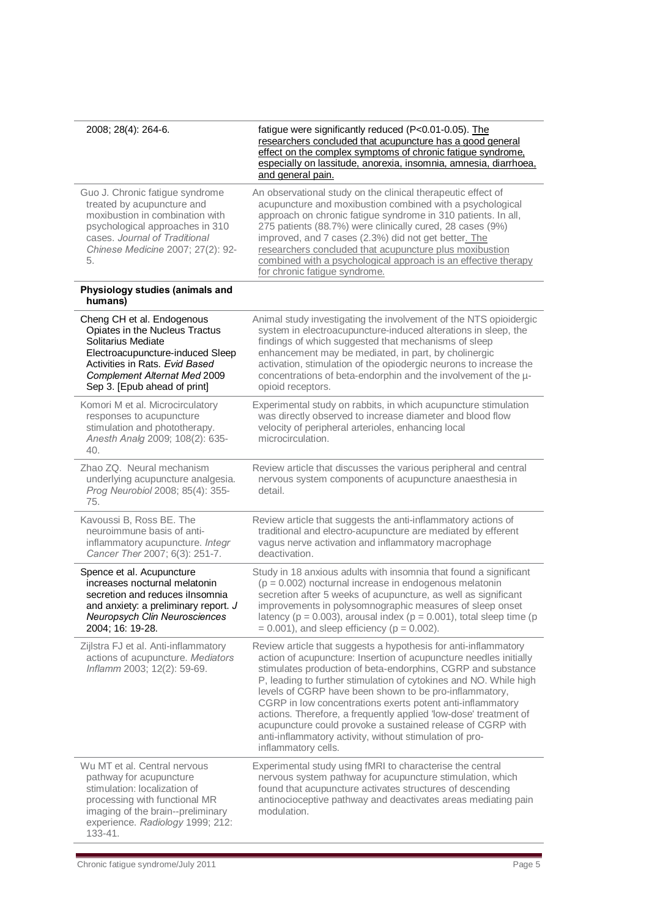| 2008; 28(4): 264-6.                                                                                                                                                                                                      | fatigue were significantly reduced (P<0.01-0.05). The<br>researchers concluded that acupuncture has a good general<br>effect on the complex symptoms of chronic fatigue syndrome.<br>especially on lassitude, anorexia, insomnia, amnesia, diarrhoea,<br>and general pain.                                                                                                                                                                                                                                                                                                                                            |
|--------------------------------------------------------------------------------------------------------------------------------------------------------------------------------------------------------------------------|-----------------------------------------------------------------------------------------------------------------------------------------------------------------------------------------------------------------------------------------------------------------------------------------------------------------------------------------------------------------------------------------------------------------------------------------------------------------------------------------------------------------------------------------------------------------------------------------------------------------------|
| Guo J. Chronic fatigue syndrome<br>treated by acupuncture and<br>moxibustion in combination with<br>psychological approaches in 310<br>cases. Journal of Traditional<br>Chinese Medicine 2007; 27(2): 92-<br>5.          | An observational study on the clinical therapeutic effect of<br>acupuncture and moxibustion combined with a psychological<br>approach on chronic fatigue syndrome in 310 patients. In all,<br>275 patients (88.7%) were clinically cured, 28 cases (9%)<br>improved, and 7 cases (2.3%) did not get better. The<br>researchers concluded that acupuncture plus moxibustion<br>combined with a psychological approach is an effective therapy<br>for chronic fatigue syndrome.                                                                                                                                         |
| Physiology studies (animals and<br>humans)                                                                                                                                                                               |                                                                                                                                                                                                                                                                                                                                                                                                                                                                                                                                                                                                                       |
| Cheng CH et al. Endogenous<br>Opiates in the Nucleus Tractus<br>Solitarius Mediate<br>Electroacupuncture-induced Sleep<br>Activities in Rats. Evid Based<br>Complement Alternat Med 2009<br>Sep 3. [Epub ahead of print] | Animal study investigating the involvement of the NTS opioidergic<br>system in electroacupuncture-induced alterations in sleep, the<br>findings of which suggested that mechanisms of sleep<br>enhancement may be mediated, in part, by cholinergic<br>activation, stimulation of the opiodergic neurons to increase the<br>concentrations of beta-endorphin and the involvement of the µ-<br>opioid receptors.                                                                                                                                                                                                       |
| Komori M et al. Microcirculatory<br>responses to acupuncture<br>stimulation and phototherapy.<br>Anesth Analg 2009; 108(2): 635-<br>40.                                                                                  | Experimental study on rabbits, in which acupuncture stimulation<br>was directly observed to increase diameter and blood flow<br>velocity of peripheral arterioles, enhancing local<br>microcirculation.                                                                                                                                                                                                                                                                                                                                                                                                               |
| Zhao ZQ. Neural mechanism<br>underlying acupuncture analgesia.<br>Prog Neurobiol 2008; 85(4): 355-<br>75.                                                                                                                | Review article that discusses the various peripheral and central<br>nervous system components of acupuncture anaesthesia in<br>detail.                                                                                                                                                                                                                                                                                                                                                                                                                                                                                |
| Kavoussi B, Ross BE. The<br>neuroimmune basis of anti-<br>inflammatory acupuncture. Integr<br>Cancer Ther 2007; 6(3): 251-7.                                                                                             | Review article that suggests the anti-inflammatory actions of<br>traditional and electro-acupuncture are mediated by efferent<br>vagus nerve activation and inflammatory macrophage<br>deactivation.                                                                                                                                                                                                                                                                                                                                                                                                                  |
| Spence et al. Acupuncture<br>increases nocturnal melatonin<br>secretion and reduces ilnsomnia<br>and anxiety: a preliminary report. J<br>Neuropsych Clin Neurosciences<br>2004; 16: 19-28.                               | Study in 18 anxious adults with insomnia that found a significant<br>$(p = 0.002)$ nocturnal increase in endogenous melatonin<br>secretion after 5 weeks of acupuncture, as well as significant<br>improvements in polysomnographic measures of sleep onset<br>latency ( $p = 0.003$ ), arousal index ( $p = 0.001$ ), total sleep time ( $p = 0.001$ )<br>$= 0.001$ , and sleep efficiency ( $p = 0.002$ ).                                                                                                                                                                                                          |
| Zijlstra FJ et al. Anti-inflammatory<br>actions of acupuncture. Mediators<br>Inflamm 2003; 12(2): 59-69.                                                                                                                 | Review article that suggests a hypothesis for anti-inflammatory<br>action of acupuncture: Insertion of acupuncture needles initially<br>stimulates production of beta-endorphins, CGRP and substance<br>P, leading to further stimulation of cytokines and NO. While high<br>levels of CGRP have been shown to be pro-inflammatory,<br>CGRP in low concentrations exerts potent anti-inflammatory<br>actions. Therefore, a frequently applied 'low-dose' treatment of<br>acupuncture could provoke a sustained release of CGRP with<br>anti-inflammatory activity, without stimulation of pro-<br>inflammatory cells. |
| Wu MT et al. Central nervous<br>pathway for acupuncture<br>stimulation: localization of<br>processing with functional MR<br>imaging of the brain--preliminary<br>experience. Radiology 1999; 212:<br>133-41.             | Experimental study using fMRI to characterise the central<br>nervous system pathway for acupuncture stimulation, which<br>found that acupuncture activates structures of descending<br>antinocioceptive pathway and deactivates areas mediating pain<br>modulation.                                                                                                                                                                                                                                                                                                                                                   |